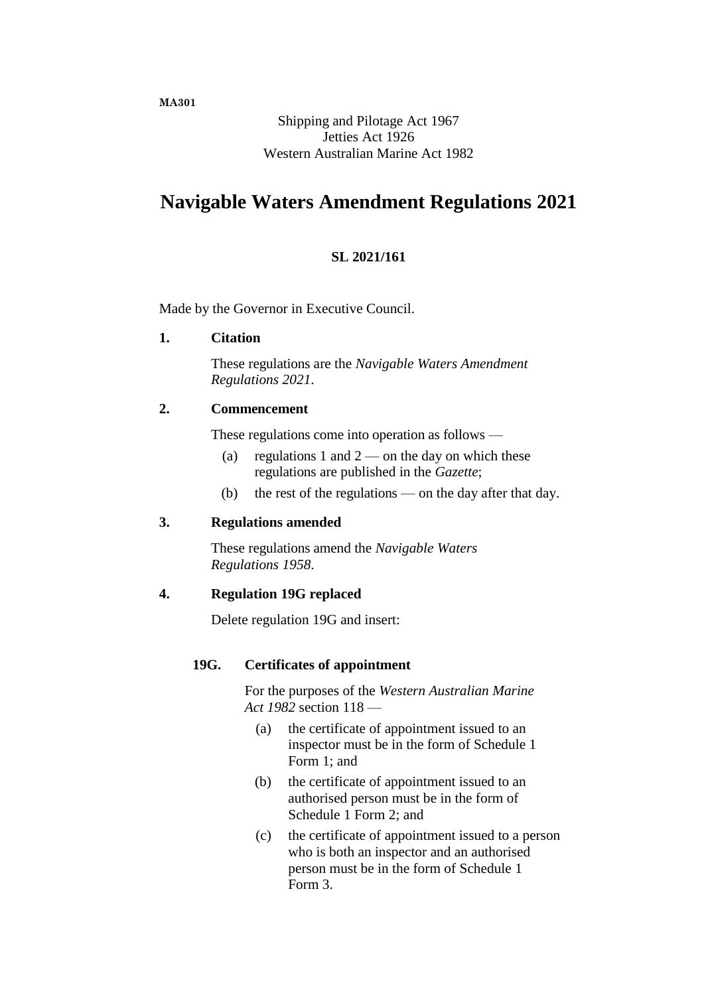Shipping and Pilotage Act 1967 Jetties Act 1926 Western Australian Marine Act 1982

# **Navigable Waters Amendment Regulations 2021**

### **SL 2021/161**

Made by the Governor in Executive Council.

### **1. Citation**

These regulations are the *Navigable Waters Amendment Regulations 2021*.

### **2. Commencement**

These regulations come into operation as follows —

- (a) regulations 1 and  $2$  on the day on which these regulations are published in the *Gazette*;
- (b) the rest of the regulations on the day after that day.

### **3. Regulations amended**

These regulations amend the *Navigable Waters Regulations 1958*.

### **4. Regulation 19G replaced**

Delete regulation 19G and insert:

### **19G. Certificates of appointment**

For the purposes of the *Western Australian Marine Act 1982* section 118 —

- (a) the certificate of appointment issued to an inspector must be in the form of Schedule 1 Form 1; and
- (b) the certificate of appointment issued to an authorised person must be in the form of Schedule 1 Form 2; and
- (c) the certificate of appointment issued to a person who is both an inspector and an authorised person must be in the form of Schedule 1 Form 3.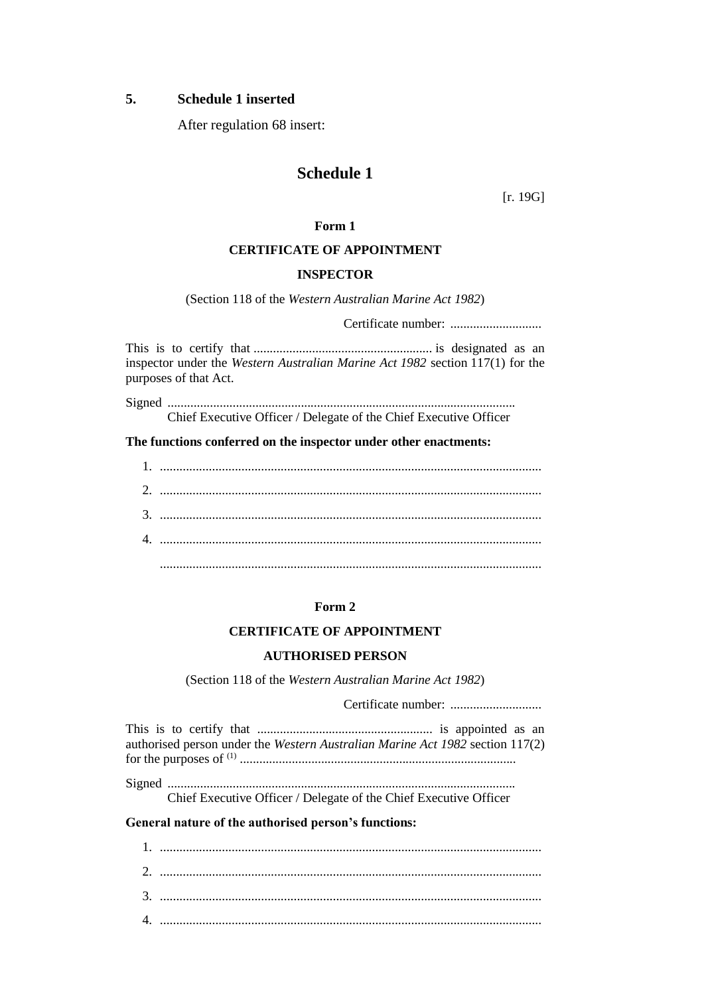### **5. Schedule 1 inserted**

After regulation 68 insert:

## **Schedule 1**

[r. 19G]

### **Form 1**

### **CERTIFICATE OF APPOINTMENT**

#### **INSPECTOR**

(Section 118 of the *Western Australian Marine Act 1982*)

Certificate number: ............................

This is to certify that ....................................................... is designated as an inspector under the *Western Australian Marine Act 1982* section 117(1) for the purposes of that Act.

Signed ........................................................................................................... Chief Executive Officer / Delegate of the Chief Executive Officer

**The functions conferred on the inspector under other enactments:**

### **Form 2**

### **CERTIFICATE OF APPOINTMENT**

#### **AUTHORISED PERSON**

(Section 118 of the *Western Australian Marine Act 1982*)

Certificate number: ............................

This is to certify that ...................................................... is appointed as an authorised person under the *Western Australian Marine Act 1982* section 117(2) for the purposes of (1) ..................................................................................... Signed ...........................................................................................................

Chief Executive Officer / Delegate of the Chief Executive Officer

### **General nature of the authorised person's functions:**

| $\Lambda$ |  |
|-----------|--|